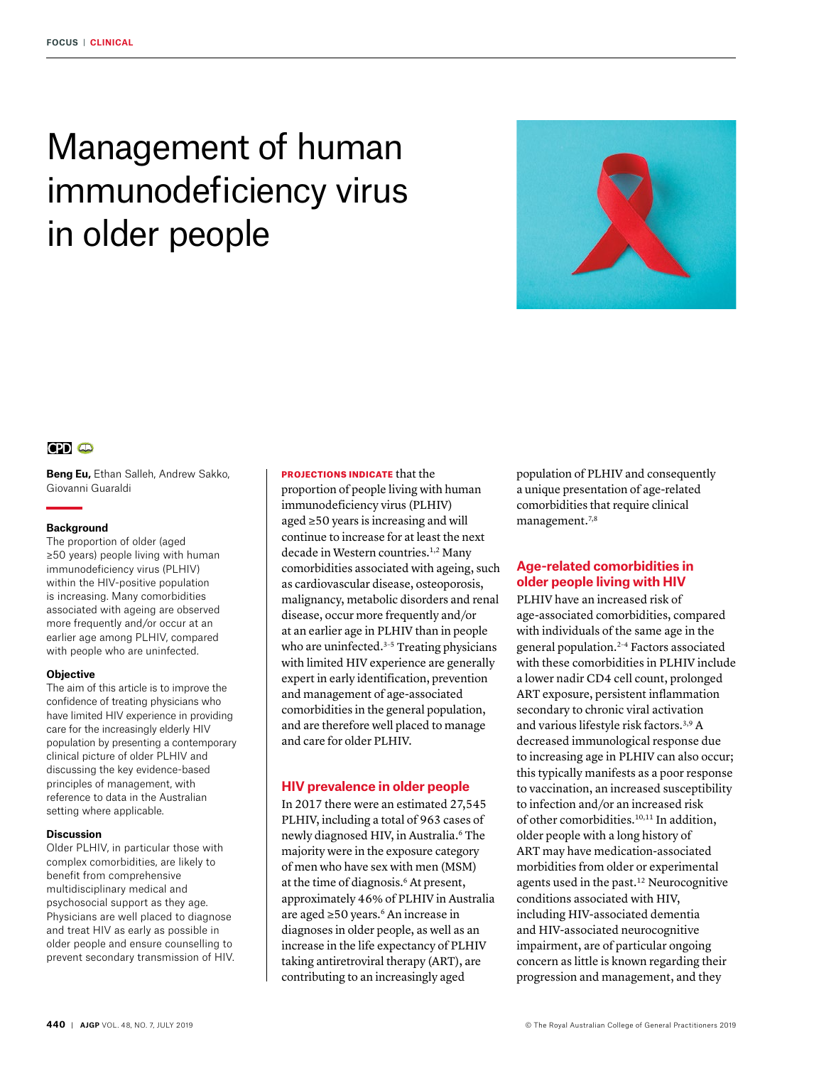# Management of human immunodeficiency virus in older people



## $CD<sub>o</sub>$

**Beng Eu,** Ethan Salleh, Andrew Sakko, Giovanni Guaraldi

#### **Background**

The proportion of older (aged ≥50 years) people living with human immunodeficiency virus (PLHIV) within the HIV-positive population is increasing. Many comorbidities associated with ageing are observed more frequently and/or occur at an earlier age among PLHIV, compared with people who are uninfected.

#### **Objective**

The aim of this article is to improve the confidence of treating physicians who have limited HIV experience in providing care for the increasingly elderly HIV population by presenting a contemporary clinical picture of older PLHIV and discussing the key evidence-based principles of management, with reference to data in the Australian setting where applicable.

#### **Discussion**

Older PLHIV, in particular those with complex comorbidities, are likely to benefit from comprehensive multidisciplinary medical and psychosocial support as they age. Physicians are well placed to diagnose and treat HIV as early as possible in older people and ensure counselling to prevent secondary transmission of HIV.

## PROJECTIONS INDICATE that the

proportion of people living with human immunodeficiency virus (PLHIV) aged ≥50 years is increasing and will continue to increase for at least the next decade in Western countries.<sup>1,2</sup> Many comorbidities associated with ageing, such as cardiovascular disease, osteoporosis, malignancy, metabolic disorders and renal disease, occur more frequently and/or at an earlier age in PLHIV than in people who are uninfected.<sup>3-5</sup> Treating physicians with limited HIV experience are generally expert in early identification, prevention and management of age-associated comorbidities in the general population, and are therefore well placed to manage and care for older PLHIV.

## **HIV prevalence in older people**

In 2017 there were an estimated 27,545 PLHIV, including a total of 963 cases of newly diagnosed HIV, in Australia.<sup>6</sup> The majority were in the exposure category of men who have sex with men (MSM) at the time of diagnosis.<sup>6</sup> At present, approximately 46% of PLHIV in Australia are aged ≥50 years.6 An increase in diagnoses in older people, as well as an increase in the life expectancy of PLHIV taking antiretroviral therapy (ART), are contributing to an increasingly aged

population of PLHIV and consequently a unique presentation of age-related comorbidities that require clinical management.<sup>7,8</sup>

## **Age-related comorbidities in older people living with HIV**

PLHIV have an increased risk of age-associated comorbidities, compared with individuals of the same age in the general population.2–4 Factors associated with these comorbidities in PLHIV include a lower nadir CD4 cell count, prolonged ART exposure, persistent inflammation secondary to chronic viral activation and various lifestyle risk factors.3,9 A decreased immunological response due to increasing age in PLHIV can also occur; this typically manifests as a poor response to vaccination, an increased susceptibility to infection and/or an increased risk of other comorbidities.<sup>10,11</sup> In addition, older people with a long history of ART may have medication-associated morbidities from older or experimental agents used in the past.12 Neurocognitive conditions associated with HIV, including HIV-associated dementia and HIV-associated neurocognitive impairment, are of particular ongoing concern as little is known regarding their progression and management, and they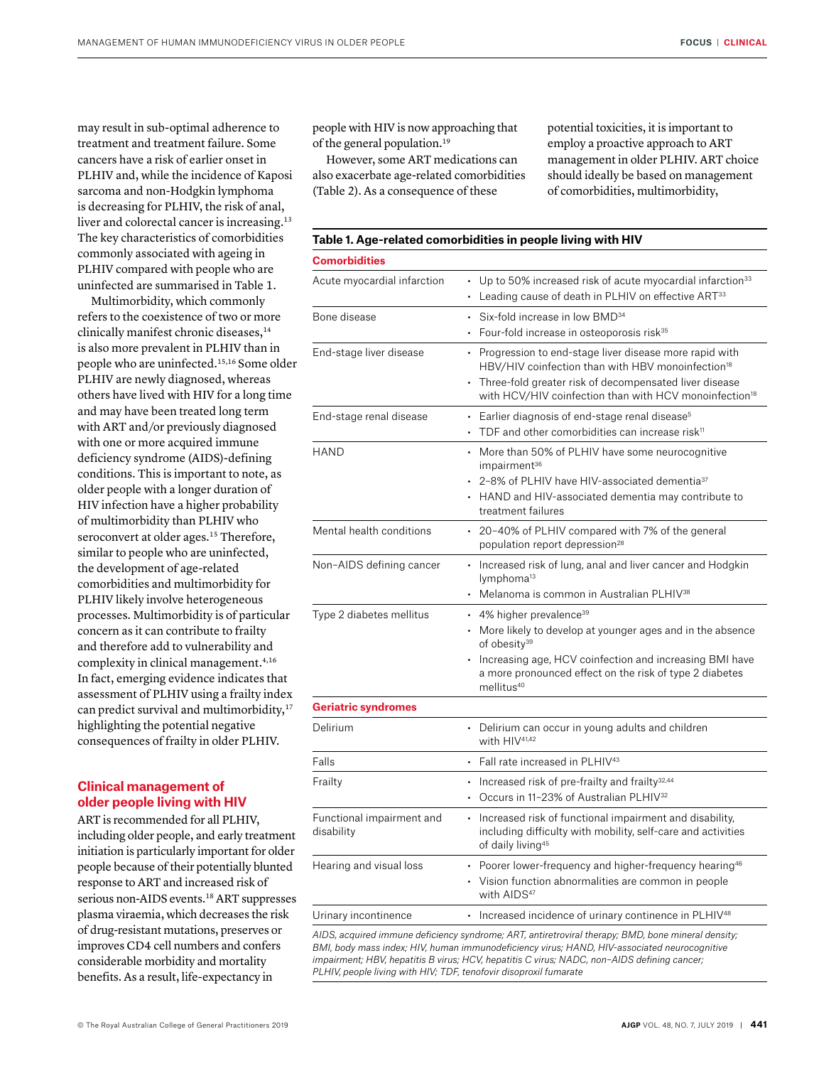may result in sub-optimal adherence to treatment and treatment failure. Some cancers have a risk of earlier onset in PLHIV and, while the incidence of Kaposi sarcoma and non-Hodgkin lymphoma is decreasing for PLHIV, the risk of anal, liver and colorectal cancer is increasing.13 The key characteristics of comorbidities commonly associated with ageing in PLHIV compared with people who are uninfected are summarised in Table 1.

Multimorbidity, which commonly refers to the coexistence of two or more clinically manifest chronic diseases,<sup>14</sup> is also more prevalent in PLHIV than in people who are uninfected.15,16 Some older PLHIV are newly diagnosed, whereas others have lived with HIV for a long time and may have been treated long term with ART and/or previously diagnosed with one or more acquired immune deficiency syndrome (AIDS)-defining conditions. This is important to note, as older people with a longer duration of HIV infection have a higher probability of multimorbidity than PLHIV who seroconvert at older ages.<sup>15</sup> Therefore, similar to people who are uninfected, the development of age-related comorbidities and multimorbidity for PLHIV likely involve heterogeneous processes. Multimorbidity is of particular concern as it can contribute to frailty and therefore add to vulnerability and complexity in clinical management.<sup>4,16</sup> In fact, emerging evidence indicates that assessment of PLHIV using a frailty index can predict survival and multimorbidity,<sup>17</sup> highlighting the potential negative consequences of frailty in older PLHIV.

## **Clinical management of older people living with HIV**

ART is recommended for all PLHIV, including older people, and early treatment initiation is particularly important for older people because of their potentially blunted response to ART and increased risk of serious non-AIDS events.18 ART suppresses plasma viraemia, which decreases the risk of drug-resistant mutations, preserves or improves CD4 cell numbers and confers considerable morbidity and mortality benefits. As a result, life-expectancy in

people with HIV is now approaching that of the general population.<sup>19</sup>

However, some ART medications can also exacerbate age-related comorbidities (Table 2). As a consequence of these

**Table 1. Age-related comorbidities in people living with HIV**

potential toxicities, it is important to employ a proactive approach to ART management in older PLHIV. ART choice should ideally be based on management of comorbidities, multimorbidity,

| <b>Comorbidities</b>                    |                                                                                                                                                                                                                                                                                         |
|-----------------------------------------|-----------------------------------------------------------------------------------------------------------------------------------------------------------------------------------------------------------------------------------------------------------------------------------------|
| Acute myocardial infarction             | • Up to 50% increased risk of acute myocardial infarction <sup>33</sup><br>• Leading cause of death in PLHIV on effective ART <sup>33</sup>                                                                                                                                             |
| Bone disease                            | • Six-fold increase in low BMD <sup>34</sup><br>• Four-fold increase in osteoporosis risk <sup>35</sup>                                                                                                                                                                                 |
| End-stage liver disease                 | • Progression to end-stage liver disease more rapid with<br>HBV/HIV coinfection than with HBV monoinfection <sup>18</sup><br>• Three-fold greater risk of decompensated liver disease<br>with HCV/HIV coinfection than with HCV monoinfection <sup>18</sup>                             |
| End-stage renal disease                 | • Earlier diagnosis of end-stage renal disease <sup>5</sup><br>TDF and other comorbidities can increase risk <sup>11</sup>                                                                                                                                                              |
| <b>HAND</b>                             | • More than 50% of PLHIV have some neurocognitive<br>impairment <sup>36</sup><br>• 2-8% of PLHIV have HIV-associated dementia <sup>37</sup><br>• HAND and HIV-associated dementia may contribute to<br>treatment failures                                                               |
| Mental health conditions                | • 20-40% of PLHIV compared with 7% of the general<br>population report depression <sup>28</sup>                                                                                                                                                                                         |
| Non-AIDS defining cancer                | • Increased risk of lung, anal and liver cancer and Hodgkin<br>lymphoma <sup>13</sup><br>• Melanoma is common in Australian PLHIV <sup>38</sup>                                                                                                                                         |
| Type 2 diabetes mellitus                | $\cdot$ 4% higher prevalence <sup>39</sup><br>• More likely to develop at younger ages and in the absence<br>of obesity <sup>39</sup><br>• Increasing age, HCV coinfection and increasing BMI have<br>a more pronounced effect on the risk of type 2 diabetes<br>mellitus <sup>40</sup> |
| <b>Geriatric syndromes</b>              |                                                                                                                                                                                                                                                                                         |
| Delirium                                | • Delirium can occur in young adults and children<br>with HIV <sup>41,42</sup>                                                                                                                                                                                                          |
| Falls                                   | • Fall rate increased in PLHIV <sup>43</sup>                                                                                                                                                                                                                                            |
| Frailty                                 | • Increased risk of pre-frailty and frailty $32,44$<br>• Occurs in 11-23% of Australian PLHIV <sup>32</sup>                                                                                                                                                                             |
| Functional impairment and<br>disability | • Increased risk of functional impairment and disability,<br>including difficulty with mobility, self-care and activities<br>of daily living <sup>45</sup>                                                                                                                              |
| Hearing and visual loss                 | • Poorer lower-frequency and higher-frequency hearing <sup>46</sup><br>• Vision function abnormalities are common in people<br>with AIDS <sup>47</sup>                                                                                                                                  |
| Urinary incontinence                    | • Increased incidence of urinary continence in PLHIV <sup>48</sup>                                                                                                                                                                                                                      |

*AIDS, acquired immune deficiency syndrome; ART, antiretroviral therapy; BMD, bone mineral density; BMI, body mass index; HIV, human immunodeficiency virus; HAND, HIV-associated neurocognitive impairment; HBV, hepatitis B virus; HCV, hepatitis C virus; NADC, non–AIDS defining cancer; PLHIV, people living with HIV; TDF, tenofovir disoproxil fumarate*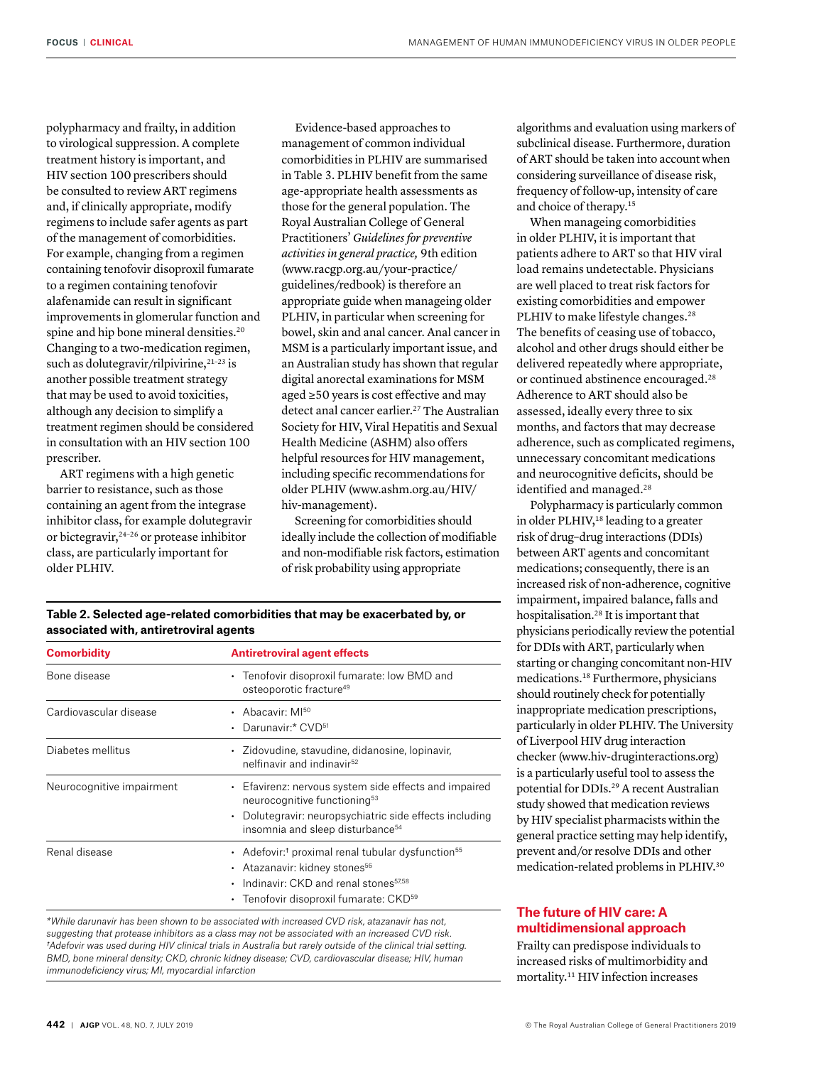polypharmacy and frailty, in addition to virological suppression. A complete treatment history is important, and HIV section 100 prescribers should be consulted to review ART regimens and, if clinically appropriate, modify regimens to include safer agents as part of the management of comorbidities. For example, changing from a regimen containing tenofovir disoproxil fumarate to a regimen containing tenofovir alafenamide can result in significant improvements in glomerular function and spine and hip bone mineral densities.<sup>20</sup> Changing to a two-medication regimen, such as dolutegravir/rilpivirine,<sup>21-23</sup> is another possible treatment strategy that may be used to avoid toxicities, although any decision to simplify a treatment regimen should be considered in consultation with an HIV section 100 prescriber.

ART regimens with a high genetic barrier to resistance, such as those containing an agent from the integrase inhibitor class, for example dolutegravir or bictegravir,24–26 or protease inhibitor class, are particularly important for older PLHIV.

**associated with, antiretroviral agents**

Evidence-based approaches to management of common individual comorbidities in PLHIV are summarised in Table 3. PLHIV benefit from the same age-appropriate health assessments as those for the general population. The Royal Australian College of General Practitioners' *Guidelines for preventive activities in general practice,* 9th edition (www.racgp.org.au/your-practice/ guidelines/redbook) is therefore an appropriate guide when manageing older PLHIV, in particular when screening for bowel, skin and anal cancer. Anal cancer in MSM is a particularly important issue, and an Australian study has shown that regular digital anorectal examinations for MSM aged ≥50 years is cost effective and may detect anal cancer earlier.<sup>27</sup> The Australian Society for HIV, Viral Hepatitis and Sexual Health Medicine (ASHM) also offers helpful resources for HIV management, including specific recommendations for older PLHIV (www.ashm.org.au/HIV/ hiv-management).

Screening for comorbidities should ideally include the collection of modifiable and non-modifiable risk factors, estimation of risk probability using appropriate

algorithms and evaluation using markers of subclinical disease. Furthermore, duration of ART should be taken into account when considering surveillance of disease risk, frequency of follow-up, intensity of care and choice of therapy.15

When manageing comorbidities in older PLHIV, it is important that patients adhere to ART so that HIV viral load remains undetectable. Physicians are well placed to treat risk factors for existing comorbidities and empower PLHIV to make lifestyle changes.<sup>28</sup> The benefits of ceasing use of tobacco, alcohol and other drugs should either be delivered repeatedly where appropriate, or continued abstinence encouraged.<sup>28</sup> Adherence to ART should also be assessed, ideally every three to six months, and factors that may decrease adherence, such as complicated regimens, unnecessary concomitant medications and neurocognitive deficits, should be identified and managed.<sup>28</sup>

Polypharmacy is particularly common in older PLHIV,<sup>18</sup> leading to a greater risk of drug–drug interactions (DDIs) between ART agents and concomitant medications; consequently, there is an increased risk of non-adherence, cognitive impairment, impaired balance, falls and hospitalisation.28 It is important that physicians periodically review the potential for DDIs with ART, particularly when starting or changing concomitant non-HIV medications.18 Furthermore, physicians should routinely check for potentially inappropriate medication prescriptions, particularly in older PLHIV. The University of Liverpool HIV drug interaction checker (www.hiv-druginteractions.org) is a particularly useful tool to assess the potential for DDIs.29 A recent Australian study showed that medication reviews by HIV specialist pharmacists within the general practice setting may help identify, prevent and/or resolve DDIs and other medication-related problems in PLHIV.30

## **The future of HIV care: A multidimensional approach**

Frailty can predispose individuals to increased risks of multimorbidity and mortality.11 HIV infection increases

*†Adefovir was used during HIV clinical trials in Australia but rarely outside of the clinical trial setting. BMD, bone mineral density; CKD, chronic kidney disease; CVD, cardiovascular disease; HIV, human immunodeficiency virus; MI, myocardial infarction*

| <b>Comorbidity</b>        | <b>Antiretroviral agent effects</b>                                                                                                                                                                                        |
|---------------------------|----------------------------------------------------------------------------------------------------------------------------------------------------------------------------------------------------------------------------|
| Bone disease              | Tenofovir disoproxil fumarate: low BMD and<br>$\bullet$<br>osteoporotic fracture <sup>49</sup>                                                                                                                             |
| Cardiovascular disease    | • Abacavir $M^{50}$<br>Darunavir:* CVD51<br>$\bullet$                                                                                                                                                                      |
| Diabetes mellitus         | • Zidovudine, stavudine, didanosine, lopinavir,<br>nelfinavir and indinavir <sup>52</sup>                                                                                                                                  |
| Neurocognitive impairment | • Efavirenz: nervous system side effects and impaired<br>neurocognitive functioning <sup>53</sup><br>Dolutegravir: neuropsychiatric side effects including<br>$\bullet$<br>insomnia and sleep disturbance <sup>54</sup>    |
| Renal disease             | • Adefovir: <sup>†</sup> proximal renal tubular dysfunction <sup>55</sup><br>Atazanavir: kidney stones56<br>Indinavir: CKD and renal stones <sup>57,58</sup><br>٠<br>Tenofovir disoproxil fumarate: CKD <sup>59</sup><br>٠ |
|                           | *While darunavir has been shown to be associated with increased CVD risk, atazanavir has not.                                                                                                                              |

**Table 2. Selected age-related comorbidities that may be exacerbated by, or**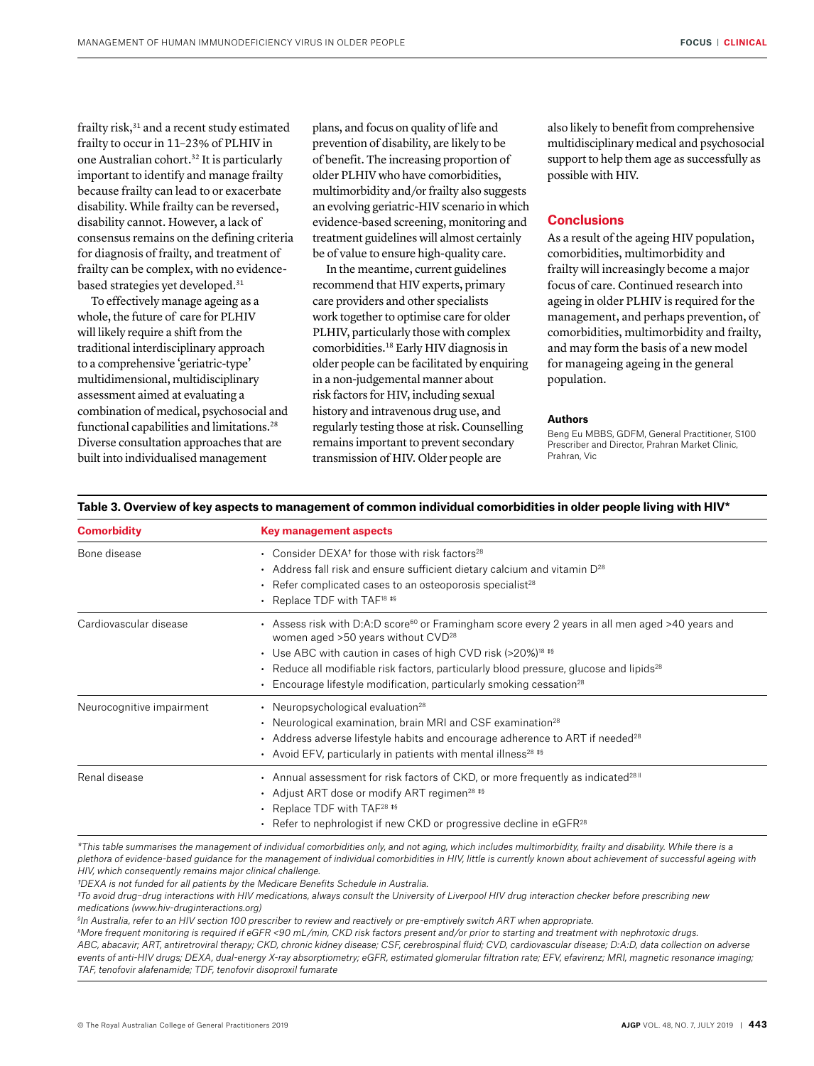frailty risk,<sup>31</sup> and a recent study estimated frailty to occur in 11–23% of PLHIV in one Australian cohort.32 It is particularly important to identify and manage frailty because frailty can lead to or exacerbate disability. While frailty can be reversed, disability cannot. However, a lack of consensus remains on the defining criteria for diagnosis of frailty, and treatment of frailty can be complex, with no evidencebased strategies yet developed.31

To effectively manage ageing as a whole, the future of care for PLHIV will likely require a shift from the traditional interdisciplinary approach to a comprehensive 'geriatric-type' multidimensional, multidisciplinary assessment aimed at evaluating a combination of medical, psychosocial and functional capabilities and limitations.<sup>28</sup> Diverse consultation approaches that are built into individualised management

plans, and focus on quality of life and prevention of disability, are likely to be of benefit. The increasing proportion of older PLHIV who have comorbidities, multimorbidity and/or frailty also suggests an evolving geriatric-HIV scenario in which evidence-based screening, monitoring and treatment guidelines will almost certainly be of value to ensure high-quality care.

In the meantime, current guidelines recommend that HIV experts, primary care providers and other specialists work together to optimise care for older PLHIV, particularly those with complex comorbidities.18 Early HIV diagnosis in older people can be facilitated by enquiring in a non-judgemental manner about risk factors for HIV, including sexual history and intravenous drug use, and regularly testing those at risk. Counselling remains important to prevent secondary transmission of HIV. Older people are

also likely to benefit from comprehensive multidisciplinary medical and psychosocial support to help them age as successfully as possible with HIV.

## **Conclusions**

As a result of the ageing HIV population, comorbidities, multimorbidity and frailty will increasingly become a major focus of care. Continued research into ageing in older PLHIV is required for the management, and perhaps prevention, of comorbidities, multimorbidity and frailty, and may form the basis of a new model for manageing ageing in the general population.

#### **Authors**

Beng Eu MBBS, GDFM, General Practitioner, S100 Prescriber and Director, Prahran Market Clinic, Prahran, Vic

| <b>Comorbidity</b>        | <b>Key management aspects</b>                                                                                                                                                                                                                                                                                                                                                                                                             |
|---------------------------|-------------------------------------------------------------------------------------------------------------------------------------------------------------------------------------------------------------------------------------------------------------------------------------------------------------------------------------------------------------------------------------------------------------------------------------------|
| Bone disease              | • Consider DEXA <sup>t</sup> for those with risk factors <sup>28</sup><br>• Address fall risk and ensure sufficient dietary calcium and vitamin $D^{28}$<br>$\cdot$ Refer complicated cases to an osteoporosis specialist <sup>28</sup><br>• Replace TDF with TAF <sup>18</sup> <sup>#\$</sup>                                                                                                                                            |
| Cardiovascular disease    | - Assess risk with D:A:D score <sup>60</sup> or Framingham score every 2 years in all men aged >40 years and<br>women aged $>50$ years without $CVD^{28}$<br>• Use ABC with caution in cases of high CVD risk (>20%) <sup>18</sup> <sup>#§</sup><br>• Reduce all modifiable risk factors, particularly blood pressure, glucose and lipids <sup>28</sup><br>Encourage lifestyle modification, particularly smoking cessation <sup>28</sup> |
| Neurocognitive impairment | • Neuropsychological evaluation <sup>28</sup><br>• Neurological examination, brain MRI and CSF examination <sup>28</sup><br>• Address adverse lifestyle habits and encourage adherence to ART if needed <sup>28</sup><br>• Avoid EFV, particularly in patients with mental illness <sup>28 ‡§</sup>                                                                                                                                       |
| Renal disease             | • Annual assessment for risk factors of CKD, or more frequently as indicated <sup>28   </sup><br>• Adjust ART dose or modify ART regimen <sup>28</sup> #\$<br>• Replace TDF with TAF <sup>28</sup> $**$<br>• Refer to nephrologist if new CKD or progressive decline in eGFR <sup>28</sup>                                                                                                                                                |

#### **Table 3. Overview of key aspects to management of common individual comorbidities in older people living with HIV\***

*\*This table summarises the management of individual comorbidities only, and not aging, which includes multimorbidity, frailty and disability. While there is a plethora of evidence-based guidance for the management of individual comorbidities in HIV, little is currently known about achievement of successful ageing with HIV, which consequently remains major clinical challenge.*

*†DEXA is not funded for all patients by the Medicare Benefits Schedule in Australia.*

*‡To avoid drug–drug interactions with HIV medications, always consult the University of Liverpool HIV drug interaction checker before prescribing new medications (www.hiv-druginteractions.org)*

*§ In Australia, refer to an HIV section 100 prescriber to review and reactively or pre-emptively switch ART when appropriate.*

*II More frequent monitoring is required if eGFR <90 mL/min, CKD risk factors present and/or prior to starting and treatment with nephrotoxic drugs. ABC, abacavir; ART, antiretroviral therapy; CKD, chronic kidney disease; CSF, cerebrospinal fluid; CVD, cardiovascular disease; D:A:D, data collection on adverse events of anti-HIV drugs; DEXA, dual-energy X-ray absorptiometry; eGFR, estimated glomerular filtration rate; EFV, efavirenz; MRI, magnetic resonance imaging; TAF, tenofovir alafenamide; TDF, tenofovir disoproxil fumarate*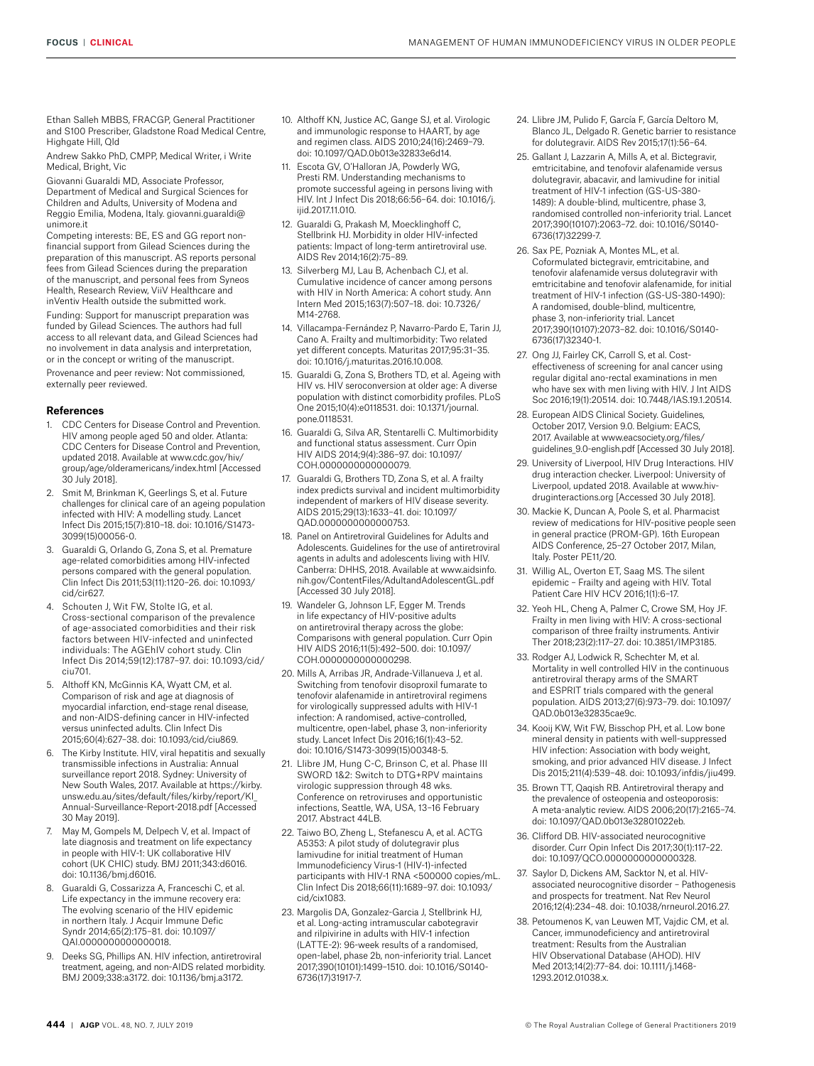Ethan Salleh MBBS, FRACGP, General Practitioner and S100 Prescriber, Gladstone Road Medical Centre, Highgate Hill, Qld

Andrew Sakko PhD, CMPP, Medical Writer, i Write Medical, Bright, Vic

Giovanni Guaraldi MD, Associate Professor, Department of Medical and Surgical Sciences for Children and Adults, University of Modena and Reggio Emilia, Modena, Italy. giovanni.guaraldi@ unimore.it

Competing interests: BE, ES and GG report nonfinancial support from Gilead Sciences during the preparation of this manuscript. AS reports personal fees from Gilead Sciences during the preparation of the manuscript, and personal fees from Syneos Health, Research Review, ViiV Healthcare and inVentiv Health outside the submitted work.

Funding: Support for manuscript preparation was funded by Gilead Sciences. The authors had full access to all relevant data, and Gilead Sciences had no involvement in data analysis and interpretation, or in the concept or writing of the manuscript. Provenance and peer review: Not commissioned, externally peer reviewed.

#### **References**

- CDC Centers for Disease Control and Prevention. HIV among people aged 50 and older. Atlanta: CDC Centers for Disease Control and Prevention, updated 2018. Available at www.cdc.gov/hiv/ group/age/olderamericans/index.html [Accessed 30 July 2018].
- 2. Smit M, Brinkman K, Geerlings S, et al. Future challenges for clinical care of an ageing population infected with HIV: A modelling study. Lancet Infect Dis 2015;15(7):810–18. doi: 10.1016/S1473- 3099(15)00056-0.
- 3. Guaraldi G, Orlando G, Zona S, et al. Premature age-related comorbidities among HIV-infected persons compared with the general population. Clin Infect Dis 2011;53(11):1120–26. doi: 10.1093/ cid/cir627.
- 4. Schouten J, Wit FW, Stolte IG, et al. Cross-sectional comparison of the prevalence of age-associated comorbidities and their risk factors between HIV-infected and uninfected individuals: The AGEhIV cohort study. Clin Infect Dis 2014;59(12):1787–97. doi: 10.1093/cid/ ciu701.
- 5. Althoff KN, McGinnis KA, Wyatt CM, et al. Comparison of risk and age at diagnosis of myocardial infarction, end-stage renal disease, and non-AIDS-defining cancer in HIV-infected versus uninfected adults. Clin Infect Dis 2015;60(4):627–38. doi: 10.1093/cid/ciu869.
- 6. The Kirby Institute. HIV, viral hepatitis and sexually transmissible infections in Australia: Annual surveillance report 2018. Sydney: University of New South Wales, 2017. Available at https://kirby. unsw.edu.au/sites/default/files/kirby/report/KI\_ Annual-Surveillance-Report-2018.pdf [Accessed 30 May 2019].
- May M, Gompels M, Delpech V, et al. Impact of late diagnosis and treatment on life expectancy in people with HIV-1: UK collaborative HIV cohort (UK CHIC) study. BMJ 2011;343:d6016. doi: 10.1136/bmj.d6016.
- 8. Guaraldi G, Cossarizza A, Franceschi C, et al. Life expectancy in the immune recovery era: The evolving scenario of the HIV epidemic in northern Italy. J Acquir Immune Defic Syndr 2014;65(2):175–81. doi: 10.1097/ QAI.0000000000000018.
- 9. Deeks SG, Phillips AN. HIV infection, antiretroviral treatment, ageing, and non-AIDS related morbidity. BMJ 2009;338:a3172. doi: 10.1136/bmj.a3172.
- 10. Althoff KN, Justice AC, Gange SJ, et al. Virologic and immunologic response to HAART, by age and regimen class. AIDS 2010;24(16):2469–79. doi: 10.1097/QAD.0b013e32833e6d14.
- 11. Escota GV, O'Halloran JA, Powderly WG, Presti RM. Understanding mechanisms to promote successful ageing in persons living with HIV. Int J Infect Dis 2018;66:56–64. doi: 10.1016/j. iiid.201711.010
- 12. Guaraldi G, Prakash M, Moecklinghoff C, Stellbrink HJ. Morbidity in older HIV-infected patients: Impact of long-term antiretroviral use. AIDS Rev 2014;16(2):75–89.
- 13. Silverberg MJ, Lau B, Achenbach CJ, et al. Cumulative incidence of cancer among persons with HIV in North America: A cohort study. Ann Intern Med 2015;163(7):507–18. doi: 10.7326/ M14-2768.
- 14. Villacampa-Fernández P, Navarro-Pardo E, Tarin JJ, Cano A. Frailty and multimorbidity: Two related yet different concepts. Maturitas 2017;95:31–35. doi: 10.1016/j.maturitas.2016.10.008.
- 15. Guaraldi G, Zona S, Brothers TD, et al. Ageing with HIV vs. HIV seroconversion at older age: A diverse population with distinct comorbidity profiles. PLoS One 2015;10(4):e0118531. doi: 10.1371/journal. pone.0118531.
- 16. Guaraldi G, Silva AR, Stentarelli C. Multimorbidity and functional status assessment. Curr Opin HIV AIDS 2014;9(4):386–97. doi: 10.1097/ COH.0000000000000079.
- 17. Guaraldi G, Brothers TD, Zona S, et al. A frailty index predicts survival and incident multimorbidity independent of markers of HIV disease severity. AIDS 2015;29(13):1633–41. doi: 10.1097/ QAD.0000000000000753.
- 18. Panel on Antiretroviral Guidelines for Adults and Adolescents. Guidelines for the use of antiretroviral agents in adults and adolescents living with HIV. Canberra: DHHS, 2018. Available at www.aidsinfo. nih.gov/ContentFiles/AdultandAdolescentGL.pdf [Accessed 30 July 2018].
- 19. Wandeler G, Johnson LF, Egger M. Trends in life expectancy of HIV-positive adults on antiretroviral therapy across the globe: Comparisons with general population. Curr Opin HIV AIDS 2016;11(5):492–500. doi: 10.1097/ COH.0000000000000298.
- 20. Mills A, Arribas JR, Andrade-Villanueva J, et al. Switching from tenofovir disoproxil fumarate to tenofovir alafenamide in antiretroviral regimens for virologically suppressed adults with HIV-1 infection: A randomised, active-controlled, multicentre, open-label, phase 3, non-inferiority study. Lancet Infect Dis 2016;16(1):43–52. doi: 10.1016/S1473-3099(15)00348-5.
- 21. Llibre JM, Hung C-C, Brinson C, et al. Phase III SWORD 1&2: Switch to DTG+RPV maintains virologic suppression through 48 wks. Conference on retroviruses and opportunistic infections, Seattle, WA, USA, 13–16 February 2017. Abstract 44LB.
- 22. Taiwo BO, Zheng L, Stefanescu A, et al. ACTG A5353: A pilot study of dolutegravir plus lamivudine for initial treatment of Human Immunodeficiency Virus-1 (HIV-1)-infected participants with HIV-1 RNA <500000 copies/mL. Clin Infect Dis 2018;66(11):1689–97. doi: 10.1093/ cid/cix1083.
- 23. Margolis DA, Gonzalez-Garcia J, Stellbrink HJ, et al. Long-acting intramuscular cabotegravir and rilpivirine in adults with HIV-1 infection (LATTE-2): 96-week results of a randomised, open-label, phase 2b, non-inferiority trial. Lancet 2017;390(10101):1499–1510. doi: 10.1016/S0140- 6736(17)31917-7.
- 24. Llibre JM, Pulido F, García F, García Deltoro M, Blanco JL, Delgado R. Genetic barrier to resistance for dolutegravir. AIDS Rev 2015;17(1):56–64.
- 25. Gallant J, Lazzarin A, Mills A, et al. Bictegravir, emtricitabine, and tenofovir alafenamide versus dolutegravir, abacavir, and lamivudine for initial treatment of HIV-1 infection (GS-US-380- 1489): A double-blind, multicentre, phase 3, randomised controlled non-inferiority trial. Lancet 2017;390(10107):2063–72. doi: 10.1016/S0140- 6736(17)32299-7.
- 26. Sax PE, Pozniak A, Montes ML, et al. Coformulated bictegravir, emtricitabine, and tenofovir alafenamide versus dolutegravir with emtricitabine and tenofovir alafenamide, for initial treatment of HIV-1 infection (GS-US-380-1490): A randomised, double-blind, multicentre, phase 3, non-inferiority trial. Lancet 2017;390(10107):2073–82. doi: 10.1016/S0140- 6736(17)32340-1.
- 27. Ong JJ, Fairley CK, Carroll S, et al. Costeffectiveness of screening for anal cancer using regular digital ano-rectal examinations in men who have sex with men living with HIV. J Int AIDS Soc 2016;19(1):20514. doi: 10.7448/IAS.19.1.20514.
- 28. European AIDS Clinical Society. Guidelines, October 2017, Version 9.0. Belgium: EACS, 2017. Available at www.eacsociety.org/files/ guidelines\_9.0-english.pdf [Accessed 30 July 2018].
- 29. University of Liverpool, HIV Drug Interactions. HIV drug interaction checker. Liverpool: University of Liverpool, updated 2018. Available at www.hivdruginteractions.org [Accessed 30 July 2018].
- 30. Mackie K, Duncan A, Poole S, et al. Pharmacist review of medications for HIV-positive people seen in general practice (PROM-GP). 16th European AIDS Conference, 25–27 October 2017, Milan, Italy. Poster PE11/20.
- 31. Willig AL, Overton ET, Saag MS. The silent epidemic – Frailty and ageing with HIV. Total Patient Care HIV HCV 2016;1(1):6–17.
- 32. Yeoh HL, Cheng A, Palmer C, Crowe SM, Hoy JF. Frailty in men living with HIV: A cross-sectional comparison of three frailty instruments. Antivir Ther 2018;23(2):117–27. doi: 10.3851/IMP3185.
- 33. Rodger AJ, Lodwick R, Schechter M, et al. Mortality in well controlled HIV in the continuous antiretroviral therapy arms of the SMART and ESPRIT trials compared with the general population. AIDS 2013;27(6):973–79. doi: 10.1097/ QAD.0b013e32835cae9c.
- 34. Kooij KW, Wit FW, Bisschop PH, et al. Low bone mineral density in patients with well-suppressed HIV infection: Association with body weight, smoking, and prior advanced HIV disease. J Infect Dis 2015;211(4):539–48. doi: 10.1093/infdis/jiu499.
- 35. Brown TT, Qaqish RB. Antiretroviral therapy and the prevalence of osteopenia and osteoporosis: A meta-analytic review. AIDS 2006;20(17):2165–74. doi: 10.1097/QAD.0b013e32801022eb.
- 36. Clifford DB. HIV-associated neurocognitive disorder. Curr Opin Infect Dis 2017;30(1):117–22. doi: 10.1097/QCO.0000000000000328.
- 37. Saylor D, Dickens AM, Sacktor N, et al. HIVassociated neurocognitive disorder – Pathogenesis and prospects for treatment. Nat Rev Neurol 2016;12(4):234–48. doi: 10.1038/nrneurol.2016.27.
- 38. Petoumenos K, van Leuwen MT, Vajdic CM, et al. Cancer, immunodeficiency and antiretroviral treatment: Results from the Australian HIV Observational Database (AHOD). HIV Med 2013;14(2):77–84. doi: 10.1111/j.1468- 1293.2012.01038.x.